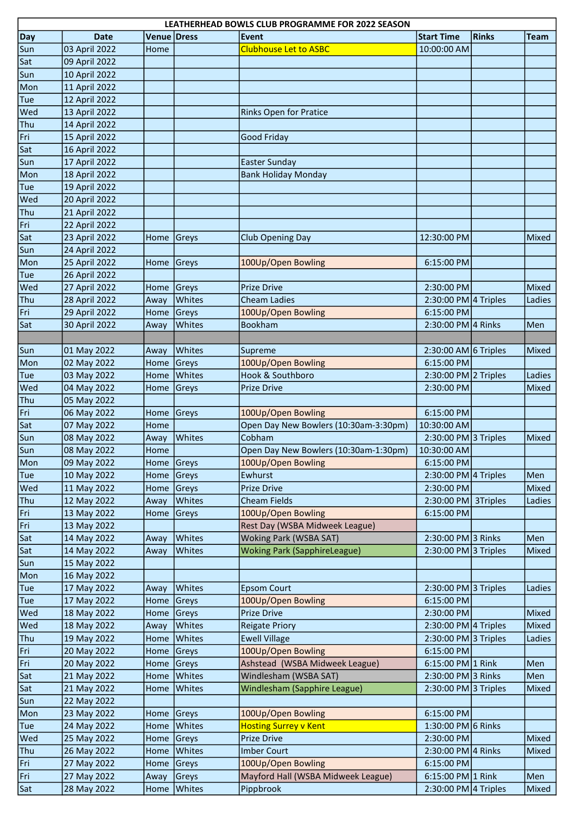| LEATHERHEAD BOWLS CLUB PROGRAMME FOR 2022 SEASON |               |              |                         |                                       |                        |              |              |  |
|--------------------------------------------------|---------------|--------------|-------------------------|---------------------------------------|------------------------|--------------|--------------|--|
| <b>Day</b>                                       | <b>Date</b>   | Venue Dress  |                         | <b>Event</b>                          | <b>Start Time</b>      | <b>Rinks</b> | <b>Team</b>  |  |
| Sun                                              | 03 April 2022 | Home         |                         | <b>Clubhouse Let to ASBC</b>          | 10:00:00 AM            |              |              |  |
| Sat                                              | 09 April 2022 |              |                         |                                       |                        |              |              |  |
| Sun                                              | 10 April 2022 |              |                         |                                       |                        |              |              |  |
| Mon                                              | 11 April 2022 |              |                         |                                       |                        |              |              |  |
| Tue                                              | 12 April 2022 |              |                         |                                       |                        |              |              |  |
| Wed                                              | 13 April 2022 |              |                         | <b>Rinks Open for Pratice</b>         |                        |              |              |  |
| Thu                                              | 14 April 2022 |              |                         |                                       |                        |              |              |  |
| Fri                                              | 15 April 2022 |              |                         | Good Friday                           |                        |              |              |  |
| Sat                                              | 16 April 2022 |              |                         |                                       |                        |              |              |  |
| Sun                                              | 17 April 2022 |              |                         | <b>Easter Sunday</b>                  |                        |              |              |  |
| Mon                                              | 18 April 2022 |              |                         | <b>Bank Holiday Monday</b>            |                        |              |              |  |
| Tue                                              | 19 April 2022 |              |                         |                                       |                        |              |              |  |
| Wed                                              | 20 April 2022 |              |                         |                                       |                        |              |              |  |
| Thu                                              | 21 April 2022 |              |                         |                                       |                        |              |              |  |
| Fri                                              | 22 April 2022 |              |                         |                                       |                        |              |              |  |
| Sat                                              | 23 April 2022 | Home         | Greys                   | Club Opening Day                      | 12:30:00 PM            |              | Mixed        |  |
| Sun                                              | 24 April 2022 |              |                         |                                       |                        |              |              |  |
| Mon                                              | 25 April 2022 | Home         | Greys                   | 100Up/Open Bowling                    | 6:15:00 PM             |              |              |  |
| Tue                                              | 26 April 2022 |              |                         |                                       |                        |              |              |  |
| Wed                                              | 27 April 2022 | Home         | Greys                   | <b>Prize Drive</b>                    | 2:30:00 PM             |              | Mixed        |  |
| Thu                                              | 28 April 2022 | Away         | Whites                  | <b>Cheam Ladies</b>                   | 2:30:00 PM 4 Triples   |              | Ladies       |  |
| Fri                                              | 29 April 2022 | Home         | Greys                   | 100Up/Open Bowling                    | 6:15:00 PM             |              |              |  |
| Sat                                              | 30 April 2022 | Away         | Whites                  | Bookham                               | 2:30:00 PM 4 Rinks     |              | Men          |  |
|                                                  |               |              |                         |                                       |                        |              |              |  |
| Sun                                              | 01 May 2022   | Away         | <b>Whites</b>           | Supreme                               | $2:30:00$ AM 6 Triples |              | Mixed        |  |
| Mon                                              | 02 May 2022   | Home         | Greys                   | 100Up/Open Bowling                    | $6:15:00$ PM           |              |              |  |
| Tue                                              | 03 May 2022   | Home         | Whites                  | Hook & Southboro                      | 2:30:00 PM 2 Triples   |              | Ladies       |  |
| Wed                                              | 04 May 2022   | Home         | Greys                   | <b>Prize Drive</b>                    | 2:30:00 PM             |              | Mixed        |  |
| Thu                                              | 05 May 2022   |              |                         |                                       |                        |              |              |  |
| Fri                                              | 06 May 2022   | Home         | Greys                   | 100Up/Open Bowling                    | 6:15:00 PM             |              |              |  |
| Sat                                              | 07 May 2022   | Home         |                         | Open Day New Bowlers (10:30am-3:30pm) | 10:30:00 AM            |              |              |  |
| Sun                                              | 08 May 2022   | Away         | Whites                  | Cobham                                | 2:30:00 PM 3 Triples   |              | <b>Mixed</b> |  |
| Sun                                              | 08 May 2022   | Home         |                         | Open Day New Bowlers (10:30am-1:30pm) | 10:30:00 AM            |              |              |  |
| Mon                                              | 09 May 2022   | Home         | <b>Greys</b>            | 100Up/Open Bowling                    | $6:15:00$ PM           |              |              |  |
| Tue                                              | 10 May 2022   | Home         | Greys                   | Ewhurst                               | $2:30:00$ PM 4 Triples |              | Men          |  |
| Wed                                              | 11 May 2022   | Home         | Greys                   | <b>Prize Drive</b>                    | 2:30:00 PM             |              | Mixed        |  |
| Thu                                              | 12 May 2022   | Away         | Whites                  | <b>Cheam Fields</b>                   | $2:30:00$ PM 3Triples  |              | Ladies       |  |
| Fri                                              | 13 May 2022   | Home         | Greys                   | 100Up/Open Bowling                    | 6:15:00 PM             |              |              |  |
| Fri                                              | 13 May 2022   |              |                         | Rest Day (WSBA Midweek League)        |                        |              |              |  |
| Sat                                              | 14 May 2022   | Away         | Whites                  | Woking Park (WSBA SAT)                | 2:30:00 PM 3 Rinks     |              | Men          |  |
| Sat                                              | 14 May 2022   | Away         | Whites                  | <b>Woking Park (SapphireLeague)</b>   | $2:30:00$ PM 3 Triples |              | Mixed        |  |
| Sun                                              | 15 May 2022   |              |                         |                                       |                        |              |              |  |
| Mon                                              | 16 May 2022   |              |                         |                                       |                        |              |              |  |
| Tue                                              | 17 May 2022   |              | Whites                  | <b>Epsom Court</b>                    | $2:30:00$ PM 3 Triples |              | Ladies       |  |
| Tue                                              | 17 May 2022   | Away<br>Home | Greys                   | 100Up/Open Bowling                    | $6:15:00$ PM           |              |              |  |
| Wed                                              | 18 May 2022   | Home         | Greys                   | <b>Prize Drive</b>                    | 2:30:00 PM             |              | <b>Mixed</b> |  |
| Wed                                              | 18 May 2022   | Away         | Whites                  | <b>Reigate Priory</b>                 | $2:30:00$ PM 4 Triples |              | Mixed        |  |
| Thu                                              | 19 May 2022   |              | <b>Whites</b>           | <b>Ewell Village</b>                  | $2:30:00$ PM 3 Triples |              | Ladies       |  |
| Fri                                              | 20 May 2022   | Home         | Greys                   | 100Up/Open Bowling                    | 6:15:00 PM             |              |              |  |
| Fri                                              | 20 May 2022   | Home         | Greys                   | Ashstead (WSBA Midweek League)        | $6:15:00$ PM 1 Rink    |              | Men          |  |
|                                                  |               | Home         |                         | Windlesham (WSBA SAT)                 |                        |              |              |  |
| Sat<br>Sat                                       | 21 May 2022   | Home         | <b>Whites</b><br>Whites |                                       | 2:30:00 PM 3 Rinks     |              | Men<br>Mixed |  |
|                                                  | 21 May 2022   | Home         |                         | Windlesham (Sapphire League)          | 2:30:00 PM 3 Triples   |              |              |  |
| Sun                                              | 22 May 2022   |              |                         |                                       |                        |              |              |  |
| Mon                                              | 23 May 2022   | Home         | <b>Greys</b>            | 100Up/Open Bowling                    | $6:15:00$ PM           |              |              |  |
| Tue                                              | 24 May 2022   | Home         | Whites                  | <b>Hosting Surrey v Kent</b>          | 1:30:00 PM 6 Rinks     |              |              |  |
| Wed                                              | 25 May 2022   | Home         | Greys                   | <b>Prize Drive</b>                    | 2:30:00 PM             |              | Mixed        |  |
| Thu                                              | 26 May 2022   | Home         | Whites                  | <b>Imber Court</b>                    | 2:30:00 PM 4 Rinks     |              | Mixed        |  |
| Fri                                              | 27 May 2022   | Home         | Greys                   | 100Up/Open Bowling                    | 6:15:00 PM             |              |              |  |
| Fri                                              | 27 May 2022   | Away         | Greys                   | Mayford Hall (WSBA Midweek League)    | 6:15:00 PM 1 Rink      |              | Men          |  |
| Sat                                              | 28 May 2022   |              | Home Whites             | Pippbrook                             | 2:30:00 PM 4 Triples   |              | Mixed        |  |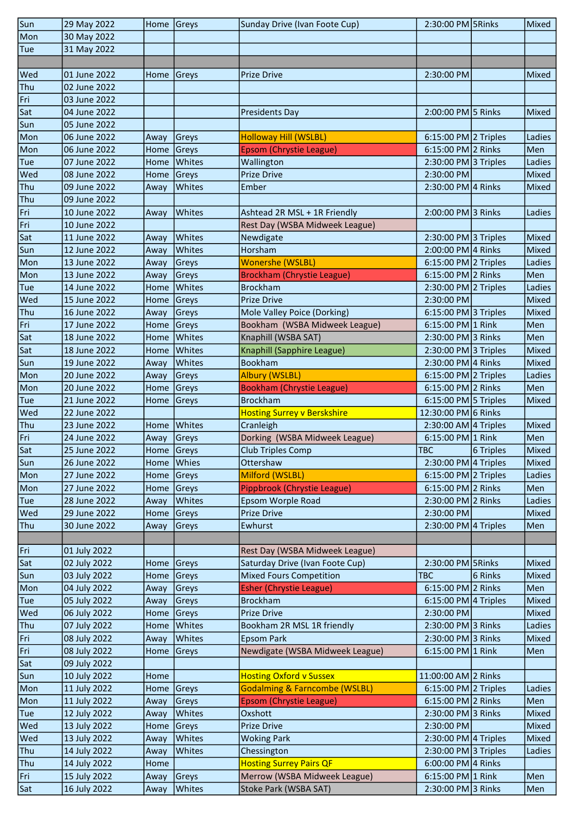| Sun | 29 May 2022  | Home Greys |               | Sunday Drive (Ivan Foote Cup)            | 2:30:00 PM 5Rinks            |           | Mixed  |
|-----|--------------|------------|---------------|------------------------------------------|------------------------------|-----------|--------|
| Mon | 30 May 2022  |            |               |                                          |                              |           |        |
| Tue | 31 May 2022  |            |               |                                          |                              |           |        |
|     |              |            |               |                                          |                              |           |        |
| Wed | 01 June 2022 | Home       | Greys         | <b>Prize Drive</b>                       | 2:30:00 PM                   |           | Mixed  |
| Thu | 02 June 2022 |            |               |                                          |                              |           |        |
|     |              |            |               |                                          |                              |           |        |
| Fri | 03 June 2022 |            |               |                                          |                              |           |        |
| Sat | 04 June 2022 |            |               | <b>Presidents Day</b>                    | 2:00:00 PM 5 Rinks           |           | Mixed  |
| Sun | 05 June 2022 |            |               |                                          |                              |           |        |
| Mon | 06 June 2022 | Away       | Greys         | <b>Holloway Hill (WSLBL)</b>             | $6:15:00$ PM 2 Triples       |           | Ladies |
| Mon | 06 June 2022 | Home       | Greys         | <b>Epsom (Chrystie League)</b>           | $6:15:00$ PM 2 Rinks         |           | Men    |
| Tue | 07 June 2022 | Home       | <b>Whites</b> | Wallington                               | $2:30:00$ PM 3 Triples       |           | Ladies |
| Wed | 08 June 2022 | Home       | Greys         | <b>Prize Drive</b>                       | 2:30:00 PM                   |           | Mixed  |
| Thu | 09 June 2022 | Away       | Whites        | Ember                                    | 2:30:00 PM 4 Rinks           |           | Mixed  |
| Thu | 09 June 2022 |            |               |                                          |                              |           |        |
| Fri | 10 June 2022 | Away       | <b>Whites</b> | Ashtead 2R MSL + 1R Friendly             | 2:00:00 PM 3 Rinks           |           | Ladies |
| Fri | 10 June 2022 |            |               | Rest Day (WSBA Midweek League)           |                              |           |        |
| Sat | 11 June 2022 | Away       | <b>Whites</b> | Newdigate                                | $2:30:00$ PM 3 Triples       |           | Mixed  |
| Sun | 12 June 2022 |            | <b>Whites</b> | Horsham                                  | 2:00:00 PM 4 Rinks           |           | Mixed  |
|     |              | Away       |               |                                          |                              |           |        |
| Mon | 13 June 2022 | Away       | Greys         | <b>Wonershe (WSLBL)</b>                  | $6:15:00$ PM 2 Triples       |           | Ladies |
| Mon | 13 June 2022 | Away       | Greys         | <b>Brockham (Chrystie League)</b>        | 6:15:00 PM 2 Rinks           |           | Men    |
| Tue | 14 June 2022 | Home       | Whites        | <b>Brockham</b>                          | 2:30:00 PM 2 Triples         |           | Ladies |
| Wed | 15 June 2022 | Home       | Greys         | <b>Prize Drive</b>                       | 2:30:00 PM                   |           | Mixed  |
| Thu | 16 June 2022 | Away       | Greys         | Mole Valley Poice (Dorking)              | $6:15:00$ PM 3 Triples       |           | Mixed  |
| Fri | 17 June 2022 | Home       | Greys         | Bookham (WSBA Midweek League)            | 6:15:00 PM 1 Rink            |           | Men    |
| Sat | 18 June 2022 | Home       | <b>Whites</b> | Knaphill (WSBA SAT)                      | 2:30:00 PM 3 Rinks           |           | Men    |
| Sat | 18 June 2022 | Home       | Whites        | Knaphill (Sapphire League)               | $2:30:00$ PM 3 Triples       |           | Mixed  |
| Sun | 19 June 2022 | Away       | Whites        | <b>Bookham</b>                           | 2:30:00 PM 4 Rinks           |           | Mixed  |
| Mon | 20 June 2022 | Away       | Greys         | <b>Albury (WSLBL)</b>                    | $6:15:00$ PM 2 Triples       |           | Ladies |
| Mon | 20 June 2022 | Home       | Greys         | <b>Bookham (Chrystie League)</b>         | 6:15:00 PM 2 Rinks           |           | Men    |
| Tue | 21 June 2022 | Home       |               | <b>Brockham</b>                          | $6:15:00$ PM 5 Triples       |           | Mixed  |
|     |              |            | Greys         |                                          |                              |           |        |
| Wed | 22 June 2022 |            |               | <b>Hosting Surrey v Berskshire</b>       | 12:30:00 PM 6 Rinks          |           |        |
| Thu | 23 June 2022 | Home       | <b>Whites</b> | Cranleigh                                | $2:30:00$ AM 4 Triples       |           | Mixed  |
| Fri | 24 June 2022 | Away       | Greys         | Dorking (WSBA Midweek League)            | $6:15:00$ PM 1 Rink          |           | Men    |
| Sat | 25 June 2022 | Home Greys |               | Club Triples Comp                        | <b>TBC</b>                   | 6 Triples | Mixed  |
| Sun | 26 June 2022 | Home Whies |               | Ottershaw                                | 2:30:00 PM $\vert$ 4 Triples |           | Mixed  |
| Mon | 27 June 2022 | Home Greys |               | Milford (WSLBL)                          | $6:15:00$ PM 2 Triples       |           | Ladies |
| Mon | 27 June 2022 | Home       | Greys         | Pippbrook (Chrystie League)              | 6:15:00 PM 2 Rinks           |           | Men    |
| Tue | 28 June 2022 | Away       | Whites        | Epsom Worple Road                        | 2:30:00 PM 2 Rinks           |           | Ladies |
| Wed | 29 June 2022 | Home       | Greys         | <b>Prize Drive</b>                       | 2:30:00 PM                   |           | Mixed  |
| Thu | 30 June 2022 | Away       | Greys         | Ewhurst                                  | 2:30:00 PM 4 Triples         |           | Men    |
|     |              |            |               |                                          |                              |           |        |
| Fri | 01 July 2022 |            |               | Rest Day (WSBA Midweek League)           |                              |           |        |
| Sat | 02 July 2022 | Home       | Greys         | Saturday Drive (Ivan Foote Cup)          | 2:30:00 PM 5Rinks            |           | Mixed  |
|     |              |            |               |                                          |                              |           |        |
| Sun | 03 July 2022 | Home       | <b>Greys</b>  | <b>Mixed Fours Competition</b>           | TBC                          | 6 Rinks   | Mixed  |
| Mon | 04 July 2022 | Away       | Greys         | <b>Esher (Chrystie League)</b>           | 6:15:00 PM 2 Rinks           |           | Men    |
| Tue | 05 July 2022 | Away       | Greys         | <b>Brockham</b>                          | $6:15:00$ PM 4 Triples       |           | Mixed  |
| Wed | 06 July 2022 | Home       | Greys         | <b>Prize Drive</b>                       | $2:30:00$ PM                 |           | Mixed  |
| Thu | 07 July 2022 |            | Home Whites   | Bookham 2R MSL 1R friendly               | 2:30:00 PM 3 Rinks           |           | Ladies |
| Fri | 08 July 2022 | Away       | Whites        | <b>Epsom Park</b>                        | 2:30:00 PM 3 Rinks           |           | Mixed  |
| Fri | 08 July 2022 | Home       | Greys         | Newdigate (WSBA Midweek League)          | 6:15:00 PM 1 Rink            |           | Men    |
| Sat | 09 July 2022 |            |               |                                          |                              |           |        |
| Sun | 10 July 2022 | Home       |               | <b>Hosting Oxford v Sussex</b>           | 11:00:00 AM 2 Rinks          |           |        |
| Mon | 11 July 2022 | Home       | Greys         | <b>Godalming &amp; Farncombe (WSLBL)</b> | $6:15:00$ PM 2 Triples       |           | Ladies |
| Mon | 11 July 2022 | Away       | Greys         | <b>Epsom (Chrystie League)</b>           | 6:15:00 PM 2 Rinks           |           | Men    |
| Tue | 12 July 2022 | Away       | <b>Whites</b> | Oxshott                                  | 2:30:00 PM 3 Rinks           |           | Mixed  |
| Wed | 13 July 2022 | Home       | Greys         | Prize Drive                              | 2:30:00 PM                   |           | Mixed  |
| Wed | 13 July 2022 |            | <b>Whites</b> |                                          | 2:30:00 PM 4 Triples         |           | Mixed  |
|     |              | Away       |               | <b>Woking Park</b>                       |                              |           |        |
| Thu | 14 July 2022 | Away       | Whites        | Chessington                              | 2:30:00 PM 3 Triples         |           | Ladies |
| Thu | 14 July 2022 | Home       |               | <b>Hosting Surrey Pairs QF</b>           | 6:00:00 PM 4 Rinks           |           |        |
| Fri | 15 July 2022 | Away       | Greys         | Merrow (WSBA Midweek League)             | 6:15:00 PM 1 Rink            |           | Men    |
| Sat | 16 July 2022 | Away       | Whites        | <b>Stoke Park (WSBA SAT)</b>             | 2:30:00 PM 3 Rinks           |           | Men    |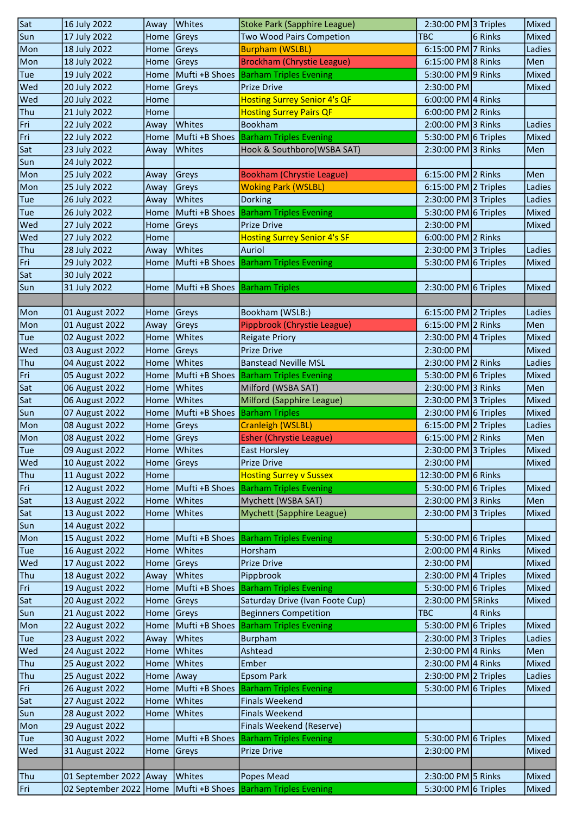| Sat | 16 July 2022           | Away         | <b>Whites</b>                   | Stoke Park (Sapphire League)                                 | $2:30:00$ PM 3 Triples |         | Mixed        |
|-----|------------------------|--------------|---------------------------------|--------------------------------------------------------------|------------------------|---------|--------------|
| Sun | 17 July 2022           | Home Greys   |                                 | Two Wood Pairs Competion                                     | TBC                    | 6 Rinks | Mixed        |
| Mon | 18 July 2022           | Home Greys   |                                 | <b>Burpham (WSLBL)</b>                                       | 6:15:00 PM 7 Rinks     |         | Ladies       |
| Mon | 18 July 2022           | Home         | Greys                           | <b>Brockham (Chrystie League)</b>                            | 6:15:00 PM 8 Rinks     |         | Men          |
| Tue | 19 July 2022           |              | Home   Mufti + B Shoes          | <b>Barham Triples Evening</b>                                | 5:30:00 PM 9 Rinks     |         | Mixed        |
| Wed | 20 July 2022           | Home         | Greys                           | <b>Prize Drive</b>                                           | 2:30:00 PM             |         | Mixed        |
| Wed | 20 July 2022           | Home         |                                 | <b>Hosting Surrey Senior 4's QF</b>                          | 6:00:00 PM 4 Rinks     |         |              |
| Thu | 21 July 2022           | Home         |                                 | <b>Hosting Surrey Pairs QF</b>                               | 6:00:00 PM 2 Rinks     |         |              |
| Fri | 22 July 2022           | Away         | Whites                          | <b>Bookham</b>                                               | 2:00:00 PM 3 Rinks     |         | Ladies       |
| Fri | 22 July 2022           | Home         |                                 | Mufti +B Shoes   Barham Triples Evening                      | 5:30:00 PM 6 Triples   |         | Mixed        |
| Sat | 23 July 2022           | Away         | <b>Whites</b>                   | Hook & Southboro(WSBA SAT)                                   | 2:30:00 PM 3 Rinks     |         | Men          |
| Sun | 24 July 2022           |              |                                 |                                                              |                        |         |              |
| Mon | 25 July 2022           | Away         | Greys                           | <b>Bookham (Chrystie League)</b>                             | 6:15:00 PM 2 Rinks     |         | Men          |
| Mon | 25 July 2022           | Away         | Greys                           | <b>Woking Park (WSLBL)</b>                                   | $6:15:00$ PM 2 Triples |         | Ladies       |
| Tue | 26 July 2022           | Away         | Whites                          | Dorking                                                      | 2:30:00 PM 3 Triples   |         | Ladies       |
| Tue | 26 July 2022           | Home         | Mufti +B Shoes                  | <b>Barham Triples Evening</b>                                | 5:30:00 PM 6 Triples   |         | Mixed        |
| Wed | 27 July 2022           | Home         | Greys                           | <b>Prize Drive</b>                                           | 2:30:00 PM             |         | Mixed        |
| Wed | 27 July 2022           | Home         |                                 | <b>Hosting Surrey Senior 4's SF</b>                          | 6:00:00 PM 2 Rinks     |         |              |
| Thu | 28 July 2022           | Away         | Whites                          | <b>Auriol</b>                                                | $2:30:00$ PM 3 Triples |         | Ladies       |
| Fri | 29 July 2022           | Home         | Mufti +B Shoes                  |                                                              | 5:30:00 PM 6 Triples   |         | Mixed        |
| Sat |                        |              |                                 | <b>Barham Triples Evening</b>                                |                        |         |              |
|     | 30 July 2022           |              |                                 |                                                              |                        |         |              |
| Sun | 31 July 2022           | Home         | Mufti +B Shoes   Barham Triples |                                                              | $2:30:00$ PM 6 Triples |         | Mixed        |
|     |                        |              |                                 |                                                              |                        |         |              |
| Mon | 01 August 2022         | Home Greys   |                                 | Bookham (WSLB:)                                              | 6:15:00 PM 2 Triples   |         | Ladies       |
| Mon | 01 August 2022         | Away         | Greys                           | Pippbrook (Chrystie League)                                  | 6:15:00 PM 2 Rinks     |         | Men          |
| Tue | 02 August 2022         | Home         | <b>Whites</b>                   | <b>Reigate Priory</b>                                        | $2:30:00$ PM 4 Triples |         | Mixed        |
| Wed | 03 August 2022         | Home         | Greys                           | <b>Prize Drive</b>                                           | 2:30:00 PM             |         | Mixed        |
| Thu | 04 August 2022         | Home         | <b>Whites</b>                   | <b>Banstead Neville MSL</b>                                  | 2:30:00 PM 2 Rinks     |         | Ladies       |
| Fri | 05 August 2022         | Home         |                                 | Mufti +B Shoes Barham Triples Evening                        | 5:30:00 PM 6 Triples   |         | Mixed        |
| Sat | 06 August 2022         | Home         | <b>Whites</b>                   | Milford (WSBA SAT)                                           | 2:30:00 PM 3 Rinks     |         | Men          |
| Sat | 06 August 2022         | Home         | <b>Whites</b>                   | Milford (Sapphire League)                                    | 2:30:00 PM 3 Triples   |         | Mixed        |
| Sun | 07 August 2022         | Home         | Mufti +B Shoes                  | <b>Barham Triples</b>                                        | $2:30:00$ PM 6 Triples |         | Mixed        |
| Mon | 08 August 2022         | Home         | <b>Greys</b>                    | <b>Cranleigh (WSLBL)</b>                                     | $6:15:00$ PM 2 Triples |         | Ladies       |
| Mon | 08 August 2022         | Home Greys   |                                 | <b>Esher (Chrystie League)</b>                               | 6:15:00 PM 2 Rinks     |         | Men          |
| Tue | 09 August 2022         |              | Home Whites                     | <b>East Horsley</b>                                          | 2:30:00 PM 3 Triples   |         | Mixed        |
| Wed | 10 August 2022         | Home Greys   |                                 | <b>Prize Drive</b>                                           | 2:30:00 PM             |         | Mixed        |
| Thu | 11 August 2022         | Home         |                                 | <b>Hosting Surrey v Sussex</b>                               | 12:30:00 PM 6 Rinks    |         |              |
| Fri | 12 August 2022         | Home         | Mufti +B Shoes                  | <b>Barham Triples Evening</b>                                | 5:30:00 PM 6 Triples   |         | Mixed        |
| Sat | 13 August 2022         | Home         | Whites                          | Mychett (WSBA SAT)                                           | 2:30:00 PM 3 Rinks     |         | Men          |
| Sat | 13 August 2022         | Home         | Whites                          | Mychett (Sapphire League)                                    | 2:30:00 PM 3 Triples   |         | Mixed        |
| Sun | 14 August 2022         |              |                                 |                                                              |                        |         |              |
| Mon | 15 August 2022         |              |                                 | Home Mufti +B Shoes <b>Barham Triples Evening</b>            | 5:30:00 PM 6 Triples   |         | Mixed        |
| Tue | 16 August 2022         | Home         | <b>Whites</b>                   | Horsham                                                      | 2:00:00 PM 4 Rinks     |         | Mixed        |
| Wed | 17 August 2022         | Home         | Greys                           | <b>Prize Drive</b>                                           | 2:30:00 PM             |         | Mixed        |
| Thu | 18 August 2022         | Away         | Whites                          | Pippbrook                                                    | $2:30:00$ PM 4 Triples |         | Mixed        |
| Fri | 19 August 2022         | Home         | Mufti +B Shoes                  | <b>Barham Triples Evening</b>                                | 5:30:00 PM 6 Triples   |         | Mixed        |
| Sat | 20 August 2022         | Home         | Greys                           | Saturday Drive (Ivan Foote Cup)                              | 2:30:00 PM 5Rinks      |         | Mixed        |
| Sun | 21 August 2022         | Home         | Greys                           | <b>Beginners Competition</b>                                 | TBC                    | 4 Rinks |              |
| Mon | 22 August 2022         |              | Home   Mufti + B Shoes          | <b>Barham Triples Evening</b>                                | 5:30:00 PM 6 Triples   |         | Mixed        |
| Tue | 23 August 2022         | Away         | Whites                          | Burpham                                                      | 2:30:00 PM 3 Triples   |         | Ladies       |
| Wed | 24 August 2022         | Home         | <b>Whites</b>                   | Ashtead                                                      | 2:30:00 PM 4 Rinks     |         | Men          |
| Thu | 25 August 2022         | Home         | Whites                          | Ember                                                        | 2:30:00 PM 4 Rinks     |         | <b>Mixed</b> |
| Thu | 25 August 2022         |              |                                 |                                                              | 2:30:00 PM 2 Triples   |         | Ladies       |
| Fri | 26 August 2022         | Home<br>Home | Away                            | Epsom Park<br>Mufti +B Shoes Barham Triples Evening          | 5:30:00 PM 6 Triples   |         | Mixed        |
|     |                        |              |                                 |                                                              |                        |         |              |
| Sat | 27 August 2022         | Home         | Whites                          | <b>Finals Weekend</b>                                        |                        |         |              |
| Sun | 28 August 2022         | Home         | Whites                          | <b>Finals Weekend</b>                                        |                        |         |              |
| Mon | 29 August 2022         |              |                                 | Finals Weekend (Reserve)                                     |                        |         |              |
| Tue | 30 August 2022         |              | Home   Mufti + B Shoes          | <b>Barham Triples Evening</b>                                | 5:30:00 PM 6 Triples   |         | Mixed        |
| Wed | 31 August 2022         | Home Greys   |                                 | <b>Prize Drive</b>                                           | 2:30:00 PM             |         | Mixed        |
|     |                        |              |                                 |                                                              |                        |         |              |
| Thu | 01 September 2022 Away |              | Whites                          | Popes Mead                                                   | 2:30:00 PM 5 Rinks     |         | Mixed        |
| Fri |                        |              |                                 | 02 September 2022 Home Mufti +B Shoes Barham Triples Evening | 5:30:00 PM 6 Triples   |         | Mixed        |